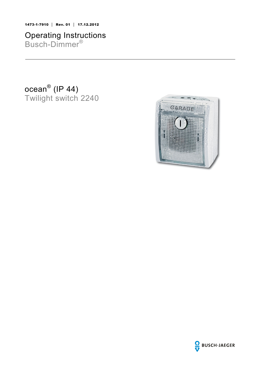1473-1-7910 │ Rev. 01 │ 17.12.2012

# Operating Instructions Busch-Dimmer®

ocean® (IP 44) Twilight switch 2240



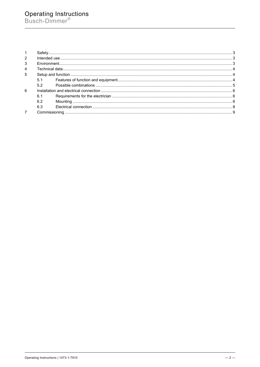# Operating Instructions<br>Busch-Dimmer®

| 2              |     |  |  |
|----------------|-----|--|--|
| 3              |     |  |  |
| $\overline{4}$ |     |  |  |
| 5              |     |  |  |
|                | 5.1 |  |  |
|                | 5.2 |  |  |
| -6             |     |  |  |
|                | 6.1 |  |  |
|                | 6.2 |  |  |
|                | 6.3 |  |  |
|                |     |  |  |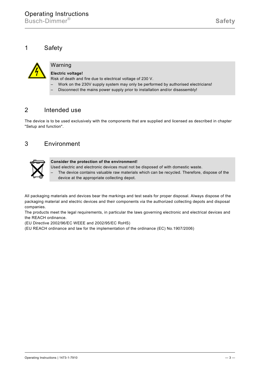<span id="page-2-0"></span>

# Warning

# **Electric voltage!**

Risk of death and fire due to electrical voltage of 230 V.

- Work on the 230V supply system may only be performed by authorised electricians!
- Disconnect the mains power supply prior to installation and/or disassembly!

# <span id="page-2-1"></span>2 Intended use

The device is to be used exclusively with the components that are supplied and licensed as described in chapter "Setup and function".

# <span id="page-2-2"></span>3 Environment



#### **Consider the protection of the environment!**

- Used electric and electronic devices must not be disposed of with domestic waste.
	- The device contains valuable raw materials which can be recycled. Therefore, dispose of the device at the appropriate collecting depot.

All packaging materials and devices bear the markings and test seals for proper disposal. Always dispose of the packaging material and electric devices and their components via the authorized collecting depots and disposal companies.

The products meet the legal requirements, in particular the laws governing electronic and electrical devices and the REACH ordinance.

(EU Directive 2002/96/EC WEEE and 2002/95/EC RoHS)

(EU REACH ordinance and law for the implementation of the ordinance (EC) No.1907/2006)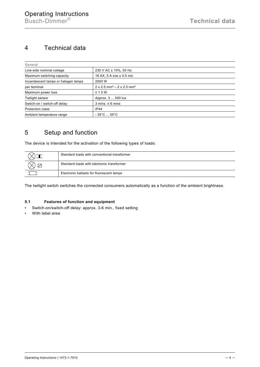# <span id="page-3-0"></span>4 Technical data

| General                             |                                                                 |  |  |  |  |
|-------------------------------------|-----------------------------------------------------------------|--|--|--|--|
| Line-side nominal voltage           | 230 V AC ± 10%, 50 Hz                                           |  |  |  |  |
| Maximum switching capacity          | 16 AX, 5 A $\cos \varphi$ 0.5 ind.                              |  |  |  |  |
| Incandescent lamps or halogen lamps | 2000 W                                                          |  |  |  |  |
| per terminal                        | $2 \times 2.5$ mm <sup>2</sup> – $2 \times 2.5$ mm <sup>2</sup> |  |  |  |  |
| Maximum power loss                  | $\leq$ 1.5 W                                                    |  |  |  |  |
| Twilight sensor                     | Approx. 3  500 lux                                              |  |  |  |  |
| Switch-on / switch-off delay        | $3 \text{ mins}$ . $\leq 6 \text{ mins}$                        |  |  |  |  |
| <b>Protection class</b>             | <b>IP44</b>                                                     |  |  |  |  |
| Ambient temperature range           | $-35^{\circ}$ C $55^{\circ}$ C                                  |  |  |  |  |

# <span id="page-3-1"></span>5 Setup and function

The device is intended for the activation of the following types of loads:

| Standard loads with conventional transformer |
|----------------------------------------------|
| Standard loads with electronic transformer   |
| Electronic ballasts for fluorescent lamps    |

The twilight switch switches the connected consumers automatically as a function of the ambient brightness.

## <span id="page-3-2"></span>5.1 Features of function and equipment

- Switch-on/switch-off delay: approx. 3-6 min., fixed setting
- With label area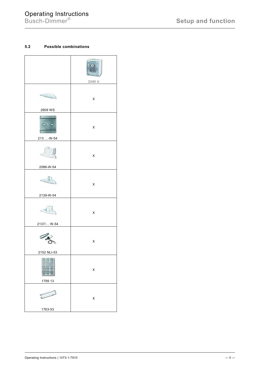# Operating Instructions

# <span id="page-4-0"></span>5.2 Possible combinations

|             | GARAGE<br>$_{\cup}$<br>2240 U |
|-------------|-------------------------------|
|             | X                             |
| 2609 WS     |                               |
| 101 100     | X                             |
| 213 -W-54   |                               |
|             | X                             |
| 2086-W-54   |                               |
|             | X                             |
| 2139-W-54   |                               |
|             | X                             |
| 2137/ W-54  |                               |
|             | X                             |
| 2152 NLI-53 |                               |
|             | X                             |
| 1799 13     |                               |
|             | X                             |
| 1763-53     |                               |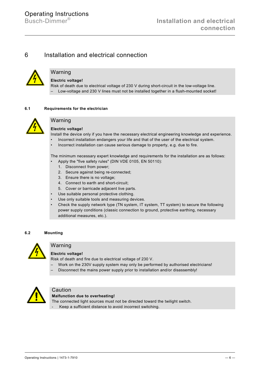# <span id="page-5-0"></span>6 Installation and electrical connection



# Warning

**Electric voltage!**

Risk of death due to electrical voltage of 230 V during short-circuit in the low-voltage line. – Low-voltage and 230 V lines must not be installed together in a flush-mounted socket!

## <span id="page-5-1"></span>**6.1 Requirements for the electrician**



# Warning

**Electric voltage!**

Install the device only if you have the necessary electrical engineering knowledge and experience.

- Incorrect installation endangers your life and that of the user of the electrical system.
- Incorrect installation can cause serious damage to property, e.g. due to fire.

The minimum necessary expert knowledge and requirements for the installation are as follows:

- Apply the "five safety rules" (DIN VDE 0105, EN 50110):
	- 1. Disconnect from power;
	- 2. Secure against being re-connected;
	- 3. Ensure there is no voltage;
	- 4. Connect to earth and short-circuit;
- 5. Cover or barricade adjacent live parts.
- Use suitable personal protective clothing.
- Use only suitable tools and measuring devices.
- Check the supply network type (TN system, IT system, TT system) to secure the following power supply conditions (classic connection to ground, protective earthing, necessary additional measures, etc.).

# <span id="page-5-2"></span>**6.2 Mounting**



# Warning

## **Electric voltage!**

Risk of death and fire due to electrical voltage of 230 V.

- Work on the 230V supply system may only be performed by authorised electricians!
- Disconnect the mains power supply prior to installation and/or disassembly!



# Caution

#### **Malfunction due to overheating!**

The connected light sources must not be directed toward the twilight switch.

- Keep a sufficient distance to avoid incorrect switching.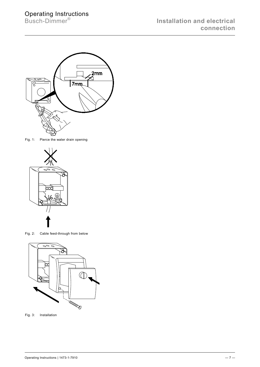

Fig. 1: Pierce the water drain opening



Fig. 2: Cable feed-through from below



Fig. 3: Installation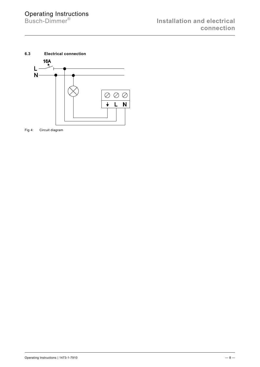**Installation and electrical connection**

<span id="page-7-0"></span>

Fig 4: Circuit diagram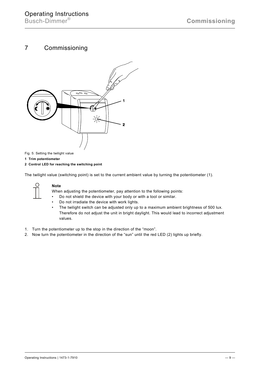# <span id="page-8-0"></span>7 Commissioning



Fig. 5: Setting the twilight value

**1 Trim potentiometer**

**2 Control LED for reaching the switching point**

The twilight value (switching point) is set to the current ambient value by turning the potentiometer (1).



## **Note**

When adjusting the potentiometer, pay attention to the following points:

- Do not shield the device with your body or with a tool or similar.
- Do not irradiate the device with work lights.<br>• The twilight switch can be adiusted only up
- The twilight switch can be adjusted only up to a maximum ambient brightness of 500 lux. Therefore do not adjust the unit in bright daylight. This would lead to incorrect adjustment values.
- 1. Turn the potentiometer up to the stop in the direction of the "moon".
- 2. Now turn the potentiometer in the direction of the "sun" until the red LED (2) lights up briefly.